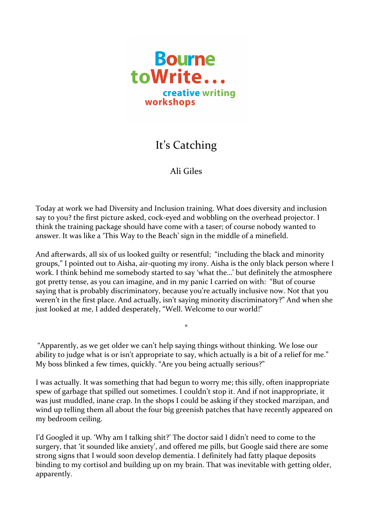

## It's Catching

## Ali Giles

Today at work we had Diversity and Inclusion training. What does diversity and inclusion say to you? the first picture asked, cock-eyed and wobbling on the overhead projector. I think the training package should have come with a taser; of course nobody wanted to answer. It was like a 'This Way to the Beach' sign in the middle of a minefield.

And afterwards, all six of us looked guilty or resentful; "including the black and minority groups," I pointed out to Aisha, air-quoting my irony. Aisha is the only black person where I work. I think behind me somebody started to say 'what the...' but definitely the atmosphere got pretty tense, as you can imagine, and in my panic I carried on with: "But of course saying that is probably discriminatory, because you're actually inclusive now. Not that you weren't in the first place. And actually, isn't saying minority discriminatory?" And when she just looked at me, I added desperately, "Well. Welcome to our world!"

"Apparently, as we get older we can't help saying things without thinking. We lose our ability to judge what is or isn't appropriate to say, which actually is a bit of a relief for me." My boss blinked a few times, quickly. "Are you being actually serious?"

\*

I was actually. It was something that had begun to worry me; this silly, often inappropriate spew of garbage that spilled out sometimes. I couldn't stop it. And if not inappropriate, it was just muddled, inane crap. In the shops I could be asking if they stocked marzipan, and wind up telling them all about the four big greenish patches that have recently appeared on my bedroom ceiling.

I'd Googled it up. 'Why am I talking shit?' The doctor said I didn't need to come to the surgery, that 'it sounded like anxiety', and offered me pills, but Google said there are some strong signs that I would soon develop dementia. I definitely had fatty plaque deposits binding to my cortisol and building up on my brain. That was inevitable with getting older, apparently.